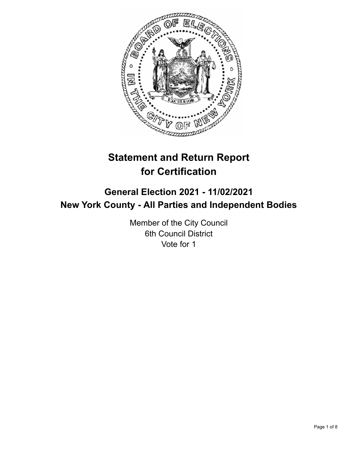

# **Statement and Return Report for Certification**

## **General Election 2021 - 11/02/2021 New York County - All Parties and Independent Bodies**

Member of the City Council 6th Council District Vote for 1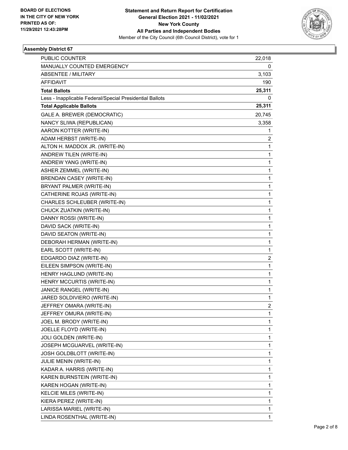

| PUBLIC COUNTER                                           | 22,018 |
|----------------------------------------------------------|--------|
| MANUALLY COUNTED EMERGENCY                               | 0      |
| <b>ABSENTEE / MILITARY</b>                               | 3,103  |
| <b>AFFIDAVIT</b>                                         | 190    |
| <b>Total Ballots</b>                                     | 25,311 |
| Less - Inapplicable Federal/Special Presidential Ballots | 0      |
| <b>Total Applicable Ballots</b>                          | 25,311 |
| GALE A. BREWER (DEMOCRATIC)                              | 20,745 |
| NANCY SLIWA (REPUBLICAN)                                 | 3,358  |
| AARON KOTTER (WRITE-IN)                                  | 1      |
| ADAM HERBST (WRITE-IN)                                   | 2      |
| ALTON H. MADDOX JR. (WRITE-IN)                           | 1      |
| ANDREW TILEN (WRITE-IN)                                  | 1      |
| ANDREW YANG (WRITE-IN)                                   | 1      |
| ASHER ZEMMEL (WRITE-IN)                                  | 1      |
| <b>BRENDAN CASEY (WRITE-IN)</b>                          | 1      |
| BRYANT PALMER (WRITE-IN)                                 | 1      |
| CATHERINE ROJAS (WRITE-IN)                               | 1      |
| CHARLES SCHLEUBER (WRITE-IN)                             | 1      |
| CHUCK ZUATKIN (WRITE-IN)                                 | 1      |
| DANNY ROSSI (WRITE-IN)                                   | 1      |
| DAVID SACK (WRITE-IN)                                    | 1      |
| DAVID SEATON (WRITE-IN)                                  | 1      |
| DEBORAH HERMAN (WRITE-IN)                                | 1      |
| EARL SCOTT (WRITE-IN)                                    | 1      |
| EDGARDO DIAZ (WRITE-IN)                                  | 2      |
| EILEEN SIMPSON (WRITE-IN)                                | 1      |
| HENRY HAGLUND (WRITE-IN)                                 | 1      |
| HENRY MCCURTIS (WRITE-IN)                                | 1      |
| JANICE RANGEL (WRITE-IN)                                 | 1      |
| JARED SOLDIVIERO (WRITE-IN)                              | 1      |
| JEFFREY OMARA (WRITE-IN)                                 | 2      |
| JEFFREY OMURA (WRITE-IN)                                 | 1      |
| JOEL M. BRODY (WRITE-IN)                                 | 1      |
| JOELLE FLOYD (WRITE-IN)                                  | 1      |
| JOLI GOLDEN (WRITE-IN)                                   | 1      |
| JOSEPH MCGUARVEL (WRITE-IN)                              | 1      |
| JOSH GOLDBLOTT (WRITE-IN)                                | 1      |
| JULIE MENIN (WRITE-IN)                                   | 1      |
| KADAR A. HARRIS (WRITE-IN)                               | 1      |
| KAREN BURNSTEIN (WRITE-IN)                               | 1      |
| KAREN HOGAN (WRITE-IN)                                   | 1      |
| KELCIE MILES (WRITE-IN)                                  | 1      |
| KIERA PEREZ (WRITE-IN)                                   | 1      |
| LARISSA MARIEL (WRITE-IN)                                | 1      |
| LINDA ROSENTHAL (WRITE-IN)                               | 1      |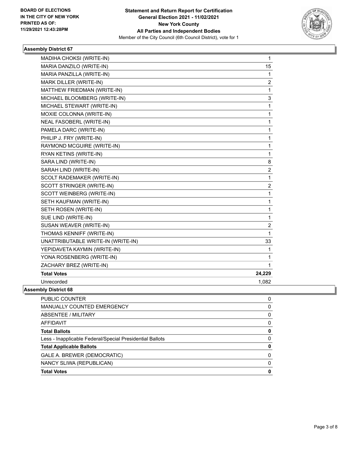

| MADIHA CHOKSI (WRITE-IN)           | $\mathbf{1}$     |
|------------------------------------|------------------|
| MARIA DANZILO (WRITE-IN)           | 15               |
| MARIA PANZILLA (WRITE-IN)          | 1                |
| MARK DILLER (WRITE-IN)             | $\overline{c}$   |
| MATTHEW FRIEDMAN (WRITE-IN)        | 1                |
| MICHAEL BLOOMBERG (WRITE-IN)       | 3                |
| MICHAEL STEWART (WRITE-IN)         | 1                |
| MOXIE COLONNA (WRITE-IN)           | 1                |
| NEAL FASOBERL (WRITE-IN)           | 1                |
| PAMELA DARC (WRITE-IN)             | $\mathbf 1$      |
| PHILIP J. FRY (WRITE-IN)           | 1                |
| RAYMOND MCGUIRE (WRITE-IN)         | 1                |
| RYAN KETINS (WRITE-IN)             | 1                |
| SARA LIND (WRITE-IN)               | 8                |
| SARAH LIND (WRITE-IN)              | 2                |
| SCOLT RADEMAKER (WRITE-IN)         | 1                |
| SCOTT STRINGER (WRITE-IN)          | $\overline{2}$   |
| SCOTT WEINBERG (WRITE-IN)          | 1                |
| SETH KAUFMAN (WRITE-IN)            | 1                |
| SETH ROSEN (WRITE-IN)              | 1                |
| SUE LIND (WRITE-IN)                | 1                |
| SUSAN WEAVER (WRITE-IN)            | $\boldsymbol{2}$ |
| THOMAS KENNIFF (WRITE-IN)          | $\mathbf{1}$     |
| UNATTRIBUTABLE WRITE-IN (WRITE-IN) | 33               |
| YEPIDAVETA KAYMIN (WRITE-IN)       | 1                |
| YONA ROSENBERG (WRITE-IN)          | 1                |
| ZACHARY BREZ (WRITE-IN)            | 1                |
| <b>Total Votes</b>                 | 24,229           |
| Unrecorded                         | 1,082            |
| hhr Diotriot CO                    |                  |

| <b>Total Votes</b>                                       | 0 |
|----------------------------------------------------------|---|
| NANCY SLIWA (REPUBLICAN)                                 | 0 |
| GALE A. BREWER (DEMOCRATIC)                              | O |
| <b>Total Applicable Ballots</b>                          | 0 |
| Less - Inapplicable Federal/Special Presidential Ballots | 0 |
| <b>Total Ballots</b>                                     | 0 |
| AFFIDAVIT                                                | 0 |
| ABSENTEE / MILITARY                                      | 0 |
| <b>MANUALLY COUNTED EMERGENCY</b>                        | 0 |
| <b>PUBLIC COUNTER</b>                                    | 0 |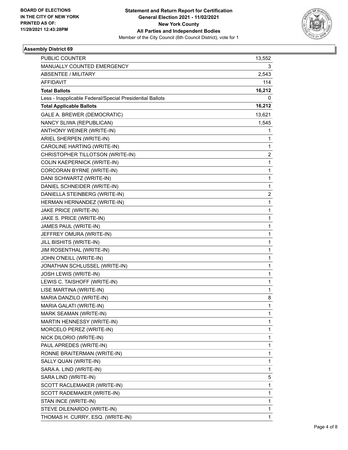

| PUBLIC COUNTER                                           | 13,552       |
|----------------------------------------------------------|--------------|
| <b>MANUALLY COUNTED EMERGENCY</b>                        | 3            |
| <b>ABSENTEE / MILITARY</b>                               | 2,543        |
| <b>AFFIDAVIT</b>                                         | 114          |
| <b>Total Ballots</b>                                     | 16,212       |
| Less - Inapplicable Federal/Special Presidential Ballots | 0            |
| <b>Total Applicable Ballots</b>                          | 16,212       |
| GALE A. BREWER (DEMOCRATIC)                              | 13,621       |
| NANCY SLIWA (REPUBLICAN)                                 | 1,545        |
| ANTHONY WEINER (WRITE-IN)                                | 1            |
| ARIEL SHERPEN (WRITE-IN)                                 | 1            |
| CAROLINE HARTING (WRITE-IN)                              | 1            |
| CHRISTOPHER TILLOTSON (WRITE-IN)                         | 2            |
| COLIN KAEPERNICK (WRITE-IN)                              | $\mathbf{1}$ |
| CORCORAN BYRNE (WRITE-IN)                                | 1            |
| DANI SCHWARTZ (WRITE-IN)                                 | 1            |
| DANIEL SCHNEIDER (WRITE-IN)                              | 1            |
| DANIELLA STEINBERG (WRITE-IN)                            | 2            |
| HERMAN HERNANDEZ (WRITE-IN)                              | 1            |
| JAKE PRICE (WRITE-IN)                                    | 1            |
| JAKE S. PRICE (WRITE-IN)                                 | 1            |
| JAMES PAUL (WRITE-IN)                                    | 1            |
| JEFFREY OMURA (WRITE-IN)                                 | 1            |
| JILL BISHITS (WRITE-IN)                                  | 1            |
| JIM ROSENTHAL (WRITE-IN)                                 | 1            |
| JOHN O'NEILL (WRITE-IN)                                  | 1            |
| JONATHAN SCHLUSSEL (WRITE-IN)                            | 1            |
| JOSH LEWIS (WRITE-IN)                                    | 1            |
| LEWIS C. TAISHOFF (WRITE-IN)                             | 1            |
| LISE MARTINA (WRITE-IN)                                  | 1            |
| MARIA DANZILO (WRITE-IN)                                 | 8            |
| MARIA GALATI (WRITE-IN)                                  | 1            |
| MARK SEAMAN (WRITE-IN)                                   | 1            |
| MARTIN HENNESSY (WRITE-IN)                               | 1            |
| MORCELO PEREZ (WRITE-IN)                                 | 1            |
| NICK DILORIO (WRITE-IN)                                  | 1            |
| PAUL APREDES (WRITE-IN)                                  | 1            |
| RONNE BRAITERMAN (WRITE-IN)                              | 1            |
| SALLY QUAN (WRITE-IN)                                    | 1            |
| SARA A. LIND (WRITE-IN)                                  | 1            |
| SARA LIND (WRITE-IN)                                     | 5            |
| SCOTT RACLEMAKER (WRITE-IN)                              | 1            |
| SCOTT RADEMAKER (WRITE-IN)                               | 1            |
| STAN INCE (WRITE-IN)                                     | 1            |
| STEVE DILENARDO (WRITE-IN)                               | 1            |
| THOMAS H. CURRY, ESQ. (WRITE-IN)                         | 1            |
|                                                          |              |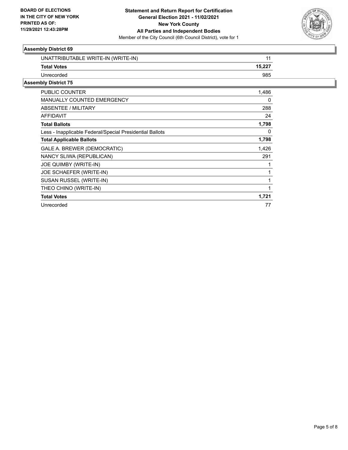

| UNATTRIBUTABLE WRITE-IN (WRITE-IN)                       | 11     |
|----------------------------------------------------------|--------|
| <b>Total Votes</b>                                       | 15,227 |
| Unrecorded                                               | 985    |
| <b>Assembly District 75</b>                              |        |
| <b>PUBLIC COUNTER</b>                                    | 1,486  |
| MANUALLY COUNTED EMERGENCY                               | 0      |
| ABSENTEE / MILITARY                                      | 288    |
| AFFIDAVIT                                                | 24     |
| <b>Total Ballots</b>                                     | 1,798  |
| Less - Inapplicable Federal/Special Presidential Ballots | 0      |
| <b>Total Applicable Ballots</b>                          | 1,798  |
| GALE A. BREWER (DEMOCRATIC)                              | 1,426  |
| NANCY SLIWA (REPUBLICAN)                                 | 291    |
| JOE QUIMBY (WRITE-IN)                                    | 1      |
| JOE SCHAEFER (WRITE-IN)                                  | 1      |
| SUSAN RUSSEL (WRITE-IN)                                  | 1      |
| THEO CHINO (WRITE-IN)                                    |        |
| <b>Total Votes</b>                                       | 1,721  |
| Unrecorded                                               | 77     |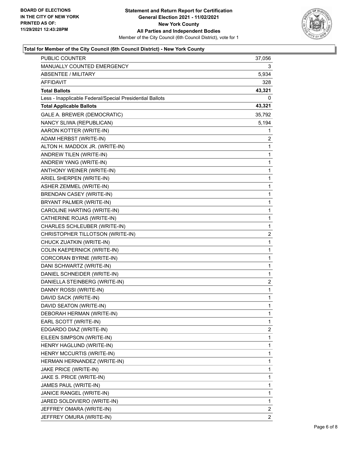

### **Total for Member of the City Council (6th Council District) - New York County**

| PUBLIC COUNTER                                           | 37,056         |
|----------------------------------------------------------|----------------|
| MANUALLY COUNTED EMERGENCY                               | 3              |
| <b>ABSENTEE / MILITARY</b>                               | 5,934          |
| <b>AFFIDAVIT</b>                                         | 328            |
| <b>Total Ballots</b>                                     | 43,321         |
| Less - Inapplicable Federal/Special Presidential Ballots | 0              |
| <b>Total Applicable Ballots</b>                          | 43,321         |
| GALE A. BREWER (DEMOCRATIC)                              | 35,792         |
| NANCY SLIWA (REPUBLICAN)                                 | 5,194          |
| AARON KOTTER (WRITE-IN)                                  | 1              |
| ADAM HERBST (WRITE-IN)                                   | 2              |
| ALTON H. MADDOX JR. (WRITE-IN)                           | $\mathbf{1}$   |
| ANDREW TILEN (WRITE-IN)                                  | $\mathbf 1$    |
| ANDREW YANG (WRITE-IN)                                   | 1              |
| ANTHONY WEINER (WRITE-IN)                                | $\mathbf 1$    |
| ARIEL SHERPEN (WRITE-IN)                                 | 1              |
| ASHER ZEMMEL (WRITE-IN)                                  | 1              |
| <b>BRENDAN CASEY (WRITE-IN)</b>                          | $\mathbf{1}$   |
| BRYANT PALMER (WRITE-IN)                                 | $\mathbf 1$    |
| CAROLINE HARTING (WRITE-IN)                              | 1              |
| CATHERINE ROJAS (WRITE-IN)                               | $\mathbf 1$    |
| CHARLES SCHLEUBER (WRITE-IN)                             | 1              |
| CHRISTOPHER TILLOTSON (WRITE-IN)                         | 2              |
| CHUCK ZUATKIN (WRITE-IN)                                 | $\mathbf{1}$   |
| COLIN KAEPERNICK (WRITE-IN)                              | $\mathbf{1}$   |
| CORCORAN BYRNE (WRITE-IN)                                | 1              |
| DANI SCHWARTZ (WRITE-IN)                                 | $\mathbf{1}$   |
| DANIEL SCHNEIDER (WRITE-IN)                              | 1              |
| DANIELLA STEINBERG (WRITE-IN)                            | 2              |
| DANNY ROSSI (WRITE-IN)                                   | $\mathbf{1}$   |
| DAVID SACK (WRITE-IN)                                    | $\mathbf{1}$   |
| DAVID SEATON (WRITE-IN)                                  | 1              |
| DEBORAH HERMAN (WRITE-IN)                                | 1              |
| EARL SCOTT (WRITE-IN)                                    | 1              |
| EDGARDO DIAZ (WRITE-IN)                                  | 2              |
| EILEEN SIMPSON (WRITE-IN)                                | 1              |
| HENRY HAGLUND (WRITE-IN)                                 | 1              |
| HENRY MCCURTIS (WRITE-IN)                                | 1              |
| HERMAN HERNANDEZ (WRITE-IN)                              | $\mathbf{1}$   |
| JAKE PRICE (WRITE-IN)                                    | 1              |
| JAKE S. PRICE (WRITE-IN)                                 | 1              |
| JAMES PAUL (WRITE-IN)                                    | $\mathbf 1$    |
| JANICE RANGEL (WRITE-IN)                                 | 1              |
| JARED SOLDIVIERO (WRITE-IN)                              | 1              |
| JEFFREY OMARA (WRITE-IN)                                 | 2              |
| JEFFREY OMURA (WRITE-IN)                                 | $\overline{2}$ |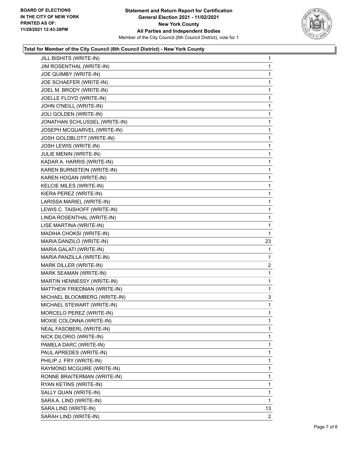

### **Total for Member of the City Council (6th Council District) - New York County**

|                               | 1              |
|-------------------------------|----------------|
| JIM ROSENTHAL (WRITE-IN)      | 1              |
| JOE QUIMBY (WRITE-IN)         | 1              |
| JOE SCHAEFER (WRITE-IN)       | 1              |
| JOEL M. BRODY (WRITE-IN)      | $\mathbf{1}$   |
| JOELLE FLOYD (WRITE-IN)       | 1              |
| JOHN O'NEILL (WRITE-IN)       | 1              |
| JOLI GOLDEN (WRITE-IN)        | $\mathbf{1}$   |
| JONATHAN SCHLUSSEL (WRITE-IN) | 1              |
| JOSEPH MCGUARVEL (WRITE-IN)   | 1              |
| JOSH GOLDBLOTT (WRITE-IN)     | 1              |
| JOSH LEWIS (WRITE-IN)         | 1              |
| JULIE MENIN (WRITE-IN)        | 1              |
| KADAR A. HARRIS (WRITE-IN)    | $\mathbf{1}$   |
| KAREN BURNSTEIN (WRITE-IN)    | 1              |
| KAREN HOGAN (WRITE-IN)        | 1              |
| KELCIE MILES (WRITE-IN)       | 1              |
| KIERA PEREZ (WRITE-IN)        | 1              |
| LARISSA MARIEL (WRITE-IN)     | 1              |
| LEWIS C. TAISHOFF (WRITE-IN)  | $\mathbf{1}$   |
| LINDA ROSENTHAL (WRITE-IN)    | 1              |
| LISE MARTINA (WRITE-IN)       | 1              |
| MADIHA CHOKSI (WRITE-IN)      | 1              |
| MARIA DANZILO (WRITE-IN)      | 23             |
|                               |                |
| MARIA GALATI (WRITE-IN)       | 1              |
| MARIA PANZILLA (WRITE-IN)     | 1              |
| MARK DILLER (WRITE-IN)        | $\overline{2}$ |
| MARK SEAMAN (WRITE-IN)        | 1              |
| MARTIN HENNESSY (WRITE-IN)    | 1              |
| MATTHEW FRIEDMAN (WRITE-IN)   | 1              |
| MICHAEL BLOOMBERG (WRITE-IN)  | 3              |
| MICHAEL STEWART (WRITE-IN)    | 1              |
| MORCELO PEREZ (WRITE-IN)      | 1              |
| MOXIE COLONNA (WRITE-IN)      | 1              |
| NEAL FASOBERL (WRITE-IN)      | 1              |
| NICK DILORIO (WRITE-IN)       | 1              |
| PAMELA DARC (WRITE-IN)        | 1              |
| PAUL APREDES (WRITE-IN)       | 1              |
| PHILIP J. FRY (WRITE-IN)      | 1              |
| RAYMOND MCGUIRE (WRITE-IN)    | 1              |
| RONNE BRAITERMAN (WRITE-IN)   | 1              |
| RYAN KETINS (WRITE-IN)        | 1              |
| SALLY QUAN (WRITE-IN)         | 1              |
| SARA A. LIND (WRITE-IN)       | 1              |
| SARA LIND (WRITE-IN)          | 13             |